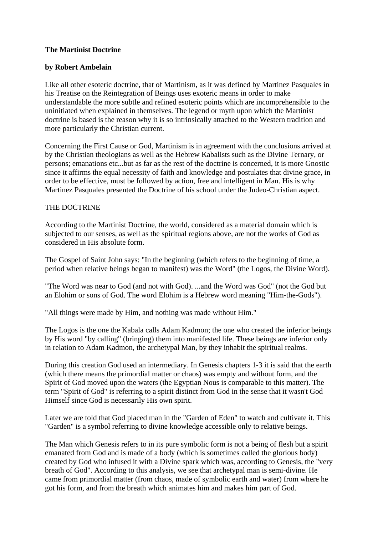# **The Martinist Doctrine**

# **by Robert Ambelain**

Like all other esoteric doctrine, that of Martinism, as it was defined by Martinez Pasquales in his Treatise on the Reintegration of Beings uses exoteric means in order to make understandable the more subtle and refined esoteric points which are incomprehensible to the uninitiated when explained in themselves. The legend or myth upon which the Martinist doctrine is based is the reason why it is so intrinsically attached to the Western tradition and more particularly the Christian current.

Concerning the First Cause or God, Martinism is in agreement with the conclusions arrived at by the Christian theologians as well as the Hebrew Kabalists such as the Divine Ternary, or persons; emanations etc...but as far as the rest of the doctrine is concerned, it is more Gnostic since it affirms the equal necessity of faith and knowledge and postulates that divine grace, in order to be effective, must be followed by action, free and intelligent in Man. His is why Martinez Pasquales presented the Doctrine of his school under the Judeo-Christian aspect.

## THE DOCTRINE

According to the Martinist Doctrine, the world, considered as a material domain which is subjected to our senses, as well as the spiritual regions above, are not the works of God as considered in His absolute form.

The Gospel of Saint John says: "In the beginning (which refers to the beginning of time, a period when relative beings began to manifest) was the Word" (the Logos, the Divine Word).

"The Word was near to God (and not with God). ...and the Word was God" (not the God but an Elohim or sons of God. The word Elohim is a Hebrew word meaning "Him-the-Gods").

"All things were made by Him, and nothing was made without Him."

The Logos is the one the Kabala calls Adam Kadmon; the one who created the inferior beings by His word "by calling" (bringing) them into manifested life. These beings are inferior only in relation to Adam Kadmon, the archetypal Man, by they inhabit the spiritual realms.

During this creation God used an intermediary. In Genesis chapters 1-3 it is said that the earth (which there means the primordial matter or chaos) was empty and without form, and the Spirit of God moved upon the waters (the Egyptian Nous is comparable to this matter). The term "Spirit of God" is referring to a spirit distinct from God in the sense that it wasn't God Himself since God is necessarily His own spirit.

Later we are told that God placed man in the "Garden of Eden" to watch and cultivate it. This "Garden" is a symbol referring to divine knowledge accessible only to relative beings.

The Man which Genesis refers to in its pure symbolic form is not a being of flesh but a spirit emanated from God and is made of a body (which is sometimes called the glorious body) created by God who infused it with a Divine spark which was, according to Genesis, the "very breath of God". According to this analysis, we see that archetypal man is semi-divine. He came from primordial matter (from chaos, made of symbolic earth and water) from where he got his form, and from the breath which animates him and makes him part of God.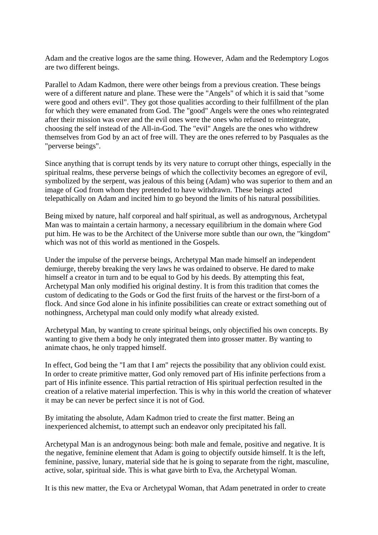Adam and the creative logos are the same thing. However, Adam and the Redemptory Logos are two different beings.

Parallel to Adam Kadmon, there were other beings from a previous creation. These beings were of a different nature and plane. These were the "Angels" of which it is said that "some were good and others evil". They got those qualities according to their fulfillment of the plan for which they were emanated from God. The "good" Angels were the ones who reintegrated after their mission was over and the evil ones were the ones who refused to reintegrate, choosing the self instead of the All-in-God. The "evil" Angels are the ones who withdrew themselves from God by an act of free will. They are the ones referred to by Pasquales as the "perverse beings".

Since anything that is corrupt tends by its very nature to corrupt other things, especially in the spiritual realms, these perverse beings of which the collectivity becomes an egregore of evil, symbolized by the serpent, was jealous of this being (Adam) who was superior to them and an image of God from whom they pretended to have withdrawn. These beings acted telepathically on Adam and incited him to go beyond the limits of his natural possibilities.

Being mixed by nature, half corporeal and half spiritual, as well as androgynous, Archetypal Man was to maintain a certain harmony, a necessary equilibrium in the domain where God put him. He was to be the Architect of the Universe more subtle than our own, the "kingdom" which was not of this world as mentioned in the Gospels.

Under the impulse of the perverse beings, Archetypal Man made himself an independent demiurge, thereby breaking the very laws he was ordained to observe. He dared to make himself a creator in turn and to be equal to God by his deeds. By attempting this feat, Archetypal Man only modified his original destiny. It is from this tradition that comes the custom of dedicating to the Gods or God the first fruits of the harvest or the first-born of a flock. And since God alone in his infinite possibilities can create or extract something out of nothingness, Archetypal man could only modify what already existed.

Archetypal Man, by wanting to create spiritual beings, only objectified his own concepts. By wanting to give them a body he only integrated them into grosser matter. By wanting to animate chaos, he only trapped himself.

In effect, God being the "I am that I am" rejects the possibility that any oblivion could exist. In order to create primitive matter, God only removed part of His infinite perfections from a part of His infinite essence. This partial retraction of His spiritual perfection resulted in the creation of a relative material imperfection. This is why in this world the creation of whatever it may be can never be perfect since it is not of God.

By imitating the absolute, Adam Kadmon tried to create the first matter. Being an inexperienced alchemist, to attempt such an endeavor only precipitated his fall.

Archetypal Man is an androgynous being: both male and female, positive and negative. It is the negative, feminine element that Adam is going to objectify outside himself. It is the left, feminine, passive, lunary, material side that he is going to separate from the right, masculine, active, solar, spiritual side. This is what gave birth to Eva, the Archetypal Woman.

It is this new matter, the Eva or Archetypal Woman, that Adam penetrated in order to create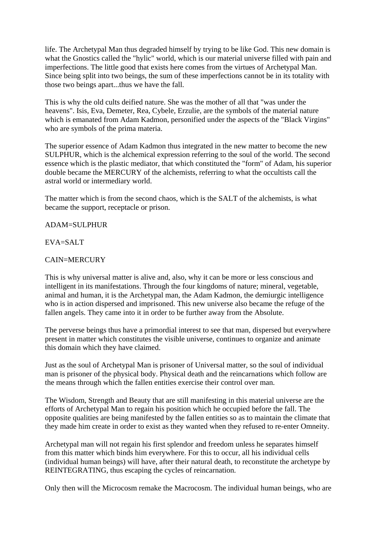life. The Archetypal Man thus degraded himself by trying to be like God. This new domain is what the Gnostics called the "hylic" world, which is our material universe filled with pain and imperfections. The little good that exists here comes from the virtues of Archetypal Man. Since being split into two beings, the sum of these imperfections cannot be in its totality with those two beings apart...thus we have the fall.

This is why the old cults deified nature. She was the mother of all that "was under the heavens". Isis, Eva, Demeter, Rea, Cybele, Erzulie, are the symbols of the material nature which is emanated from Adam Kadmon, personified under the aspects of the "Black Virgins" who are symbols of the prima materia.

The superior essence of Adam Kadmon thus integrated in the new matter to become the new SULPHUR, which is the alchemical expression referring to the soul of the world. The second essence which is the plastic mediator, that which constituted the "form" of Adam, his superior double became the MERCURY of the alchemists, referring to what the occultists call the astral world or intermediary world.

The matter which is from the second chaos, which is the SALT of the alchemists, is what became the support, receptacle or prison.

#### ADAM=SULPHUR

#### EVA=SALT

#### CAIN=MERCURY

This is why universal matter is alive and, also, why it can be more or less conscious and intelligent in its manifestations. Through the four kingdoms of nature; mineral, vegetable, animal and human, it is the Archetypal man, the Adam Kadmon, the demiurgic intelligence who is in action dispersed and imprisoned. This new universe also became the refuge of the fallen angels. They came into it in order to be further away from the Absolute.

The perverse beings thus have a primordial interest to see that man, dispersed but everywhere present in matter which constitutes the visible universe, continues to organize and animate this domain which they have claimed.

Just as the soul of Archetypal Man is prisoner of Universal matter, so the soul of individual man is prisoner of the physical body. Physical death and the reincarnations which follow are the means through which the fallen entities exercise their control over man.

The Wisdom, Strength and Beauty that are still manifesting in this material universe are the efforts of Archetypal Man to regain his position which he occupied before the fall. The opposite qualities are being manifested by the fallen entities so as to maintain the climate that they made him create in order to exist as they wanted when they refused to re-enter Omneity.

Archetypal man will not regain his first splendor and freedom unless he separates himself from this matter which binds him everywhere. For this to occur, all his individual cells (individual human beings) will have, after their natural death, to reconstitute the archetype by REINTEGRATING, thus escaping the cycles of reincarnation.

Only then will the Microcosm remake the Macrocosm. The individual human beings, who are